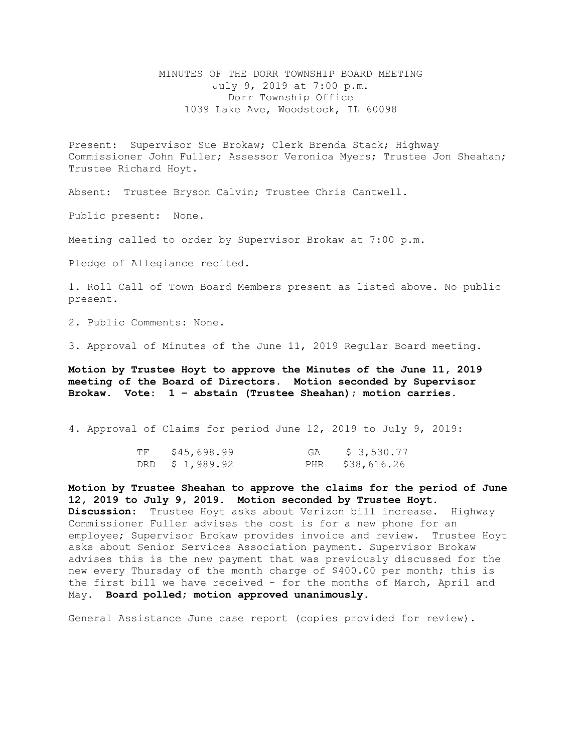MINUTES OF THE DORR TOWNSHIP BOARD MEETING July 9, 2019 at 7:00 p.m. Dorr Township Office 1039 Lake Ave, Woodstock, IL 60098

Present: Supervisor Sue Brokaw; Clerk Brenda Stack; Highway Commissioner John Fuller; Assessor Veronica Myers; Trustee Jon Sheahan; Trustee Richard Hoyt.

Absent: Trustee Bryson Calvin; Trustee Chris Cantwell.

Public present: None.

Meeting called to order by Supervisor Brokaw at 7:00 p.m.

Pledge of Allegiance recited.

1. Roll Call of Town Board Members present as listed above. No public present.

2. Public Comments: None.

3. Approval of Minutes of the June 11, 2019 Regular Board meeting.

**Motion by Trustee Hoyt to approve the Minutes of the June 11, 2019 meeting of the Board of Directors. Motion seconded by Supervisor Brokaw. Vote: 1 – abstain (Trustee Sheahan); motion carries.** 

4. Approval of Claims for period June 12, 2019 to July 9, 2019:

| TF | \$45,698.99    | GA | \$ 3,530.77     |
|----|----------------|----|-----------------|
|    | DRD \$1,989.92 |    | PHR \$38,616.26 |

**Motion by Trustee Sheahan to approve the claims for the period of June 12, 2019 to July 9, 2019. Motion seconded by Trustee Hoyt. Discussion**: Trustee Hoyt asks about Verizon bill increase. Highway Commissioner Fuller advises the cost is for a new phone for an employee; Supervisor Brokaw provides invoice and review. Trustee Hoyt asks about Senior Services Association payment. Supervisor Brokaw advises this is the new payment that was previously discussed for the new every Thursday of the month charge of \$400.00 per month; this is the first bill we have received - for the months of March, April and May. **Board polled; motion approved unanimously.** 

General Assistance June case report (copies provided for review).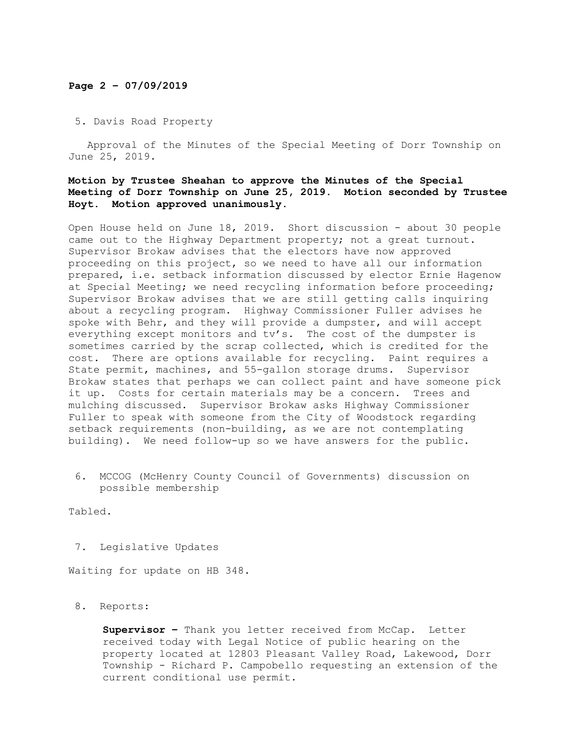# **Page 2 – 07/09/2019**

# 5. Davis Road Property

Approval of the Minutes of the Special Meeting of Dorr Township on June 25, 2019.

## **Motion by Trustee Sheahan to approve the Minutes of the Special Meeting of Dorr Township on June 25, 2019. Motion seconded by Trustee Hoyt. Motion approved unanimously.**

Open House held on June 18, 2019. Short discussion - about 30 people came out to the Highway Department property; not a great turnout. Supervisor Brokaw advises that the electors have now approved proceeding on this project, so we need to have all our information prepared, i.e. setback information discussed by elector Ernie Hagenow at Special Meeting; we need recycling information before proceeding; Supervisor Brokaw advises that we are still getting calls inquiring about a recycling program. Highway Commissioner Fuller advises he spoke with Behr, and they will provide a dumpster, and will accept everything except monitors and tv's. The cost of the dumpster is sometimes carried by the scrap collected, which is credited for the cost. There are options available for recycling. Paint requires a State permit, machines, and 55-gallon storage drums. Supervisor Brokaw states that perhaps we can collect paint and have someone pick it up. Costs for certain materials may be a concern. Trees and mulching discussed. Supervisor Brokaw asks Highway Commissioner Fuller to speak with someone from the City of Woodstock regarding setback requirements (non-building, as we are not contemplating building). We need follow-up so we have answers for the public.

 6. MCCOG (McHenry County Council of Governments) discussion on possible membership

Tabled.

7. Legislative Updates

Waiting for update on HB 348.

### 8. Reports:

**Supervisor –** Thank you letter received from McCap. Letter received today with Legal Notice of public hearing on the property located at 12803 Pleasant Valley Road, Lakewood, Dorr Township - Richard P. Campobello requesting an extension of the current conditional use permit.